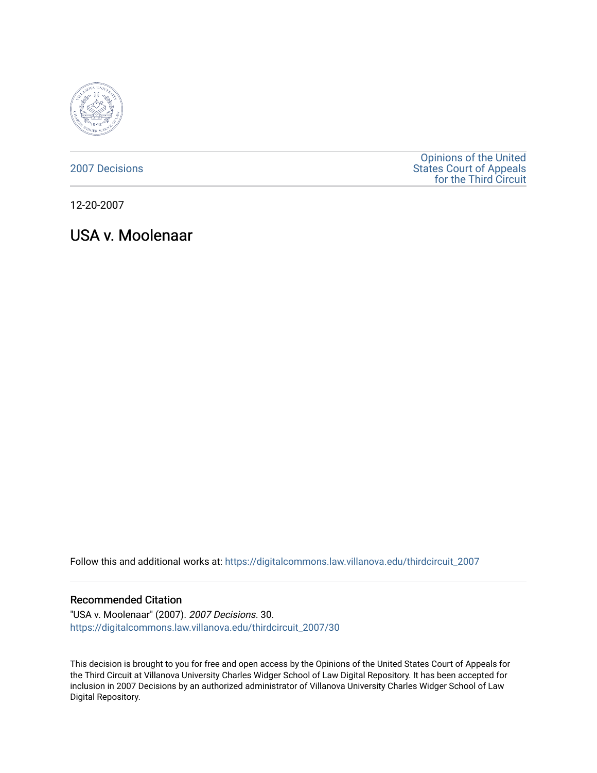

[2007 Decisions](https://digitalcommons.law.villanova.edu/thirdcircuit_2007)

[Opinions of the United](https://digitalcommons.law.villanova.edu/thirdcircuit)  [States Court of Appeals](https://digitalcommons.law.villanova.edu/thirdcircuit)  [for the Third Circuit](https://digitalcommons.law.villanova.edu/thirdcircuit) 

12-20-2007

USA v. Moolenaar

Follow this and additional works at: [https://digitalcommons.law.villanova.edu/thirdcircuit\\_2007](https://digitalcommons.law.villanova.edu/thirdcircuit_2007?utm_source=digitalcommons.law.villanova.edu%2Fthirdcircuit_2007%2F30&utm_medium=PDF&utm_campaign=PDFCoverPages) 

### Recommended Citation

"USA v. Moolenaar" (2007). 2007 Decisions. 30. [https://digitalcommons.law.villanova.edu/thirdcircuit\\_2007/30](https://digitalcommons.law.villanova.edu/thirdcircuit_2007/30?utm_source=digitalcommons.law.villanova.edu%2Fthirdcircuit_2007%2F30&utm_medium=PDF&utm_campaign=PDFCoverPages)

This decision is brought to you for free and open access by the Opinions of the United States Court of Appeals for the Third Circuit at Villanova University Charles Widger School of Law Digital Repository. It has been accepted for inclusion in 2007 Decisions by an authorized administrator of Villanova University Charles Widger School of Law Digital Repository.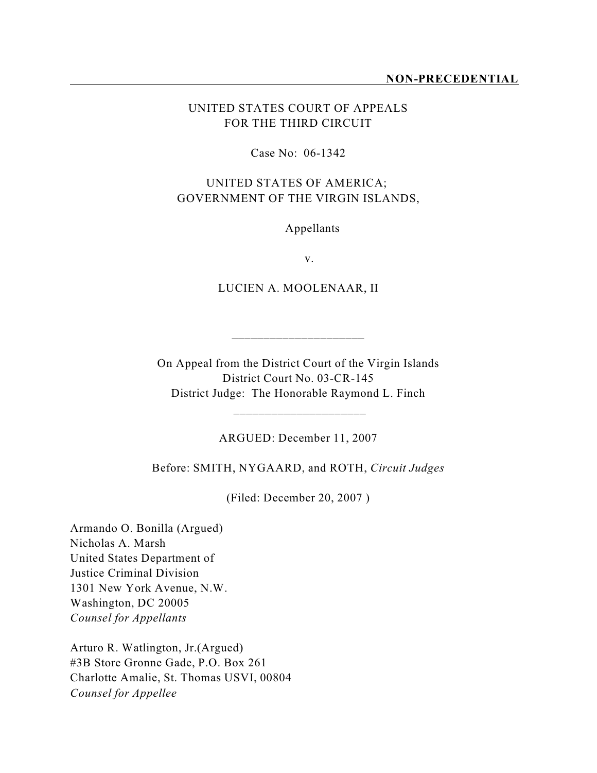## UNITED STATES COURT OF APPEALS FOR THE THIRD CIRCUIT

#### Case No: 06-1342

## UNITED STATES OF AMERICA; GOVERNMENT OF THE VIRGIN ISLANDS,

Appellants

v.

LUCIEN A. MOOLENAAR, II

\_\_\_\_\_\_\_\_\_\_\_\_\_\_\_\_\_\_\_\_\_

On Appeal from the District Court of the Virgin Islands District Court No. 03-CR-145 District Judge: The Honorable Raymond L. Finch

ARGUED: December 11, 2007

 $\frac{1}{\sqrt{2}}$  ,  $\frac{1}{\sqrt{2}}$  ,  $\frac{1}{\sqrt{2}}$  ,  $\frac{1}{\sqrt{2}}$  ,  $\frac{1}{\sqrt{2}}$  ,  $\frac{1}{\sqrt{2}}$  ,  $\frac{1}{\sqrt{2}}$  ,  $\frac{1}{\sqrt{2}}$  ,  $\frac{1}{\sqrt{2}}$  ,  $\frac{1}{\sqrt{2}}$  ,  $\frac{1}{\sqrt{2}}$  ,  $\frac{1}{\sqrt{2}}$  ,  $\frac{1}{\sqrt{2}}$  ,  $\frac{1}{\sqrt{2}}$  ,  $\frac{1}{\sqrt{2}}$ 

Before: SMITH, NYGAARD, and ROTH, *Circuit Judges*

(Filed: December 20, 2007 )

Armando O. Bonilla (Argued) Nicholas A. Marsh United States Department of Justice Criminal Division 1301 New York Avenue, N.W. Washington, DC 20005 *Counsel for Appellants*

Arturo R. Watlington, Jr.(Argued) #3B Store Gronne Gade, P.O. Box 261 Charlotte Amalie, St. Thomas USVI, 00804 *Counsel for Appellee*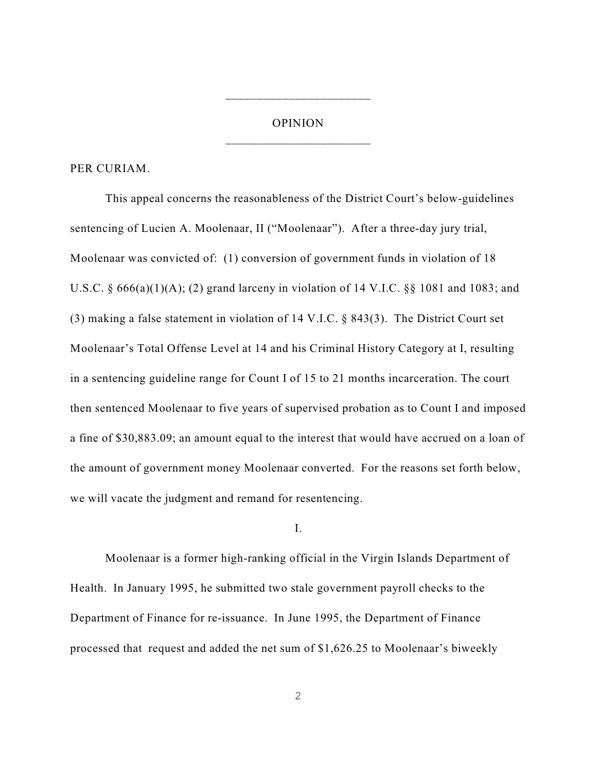# OPINION \_\_\_\_\_\_\_\_\_\_\_\_\_\_\_\_\_\_\_\_\_\_\_

\_\_\_\_\_\_\_\_\_\_\_\_\_\_\_\_\_\_\_\_\_\_\_

PER CURIAM.

This appeal concerns the reasonableness of the District Court's below-guidelines sentencing of Lucien A. Moolenaar, II ("Moolenaar"). After a three-day jury trial, Moolenaar was convicted of: (1) conversion of government funds in violation of 18 U.S.C. § 666(a)(1)(A); (2) grand larceny in violation of 14 V.I.C. §§ 1081 and 1083; and (3) making a false statement in violation of 14 V.I.C. § 843(3). The District Court set Moolenaar's Total Offense Level at 14 and his Criminal History Category at I, resulting in a sentencing guideline range for Count I of 15 to 21 months incarceration. The court then sentenced Moolenaar to five years of supervised probation as to Count I and imposed a fine of \$30,883.09; an amount equal to the interest that would have accrued on a loan of the amount of government money Moolenaar converted. For the reasons set forth below, we will vacate the judgment and remand for resentencing.

I.

Moolenaar is a former high-ranking official in the Virgin Islands Department of Health. In January 1995, he submitted two stale government payroll checks to the Department of Finance for re-issuance. In June 1995, the Department of Finance processed that request and added the net sum of \$1,626.25 to Moolenaar's biweekly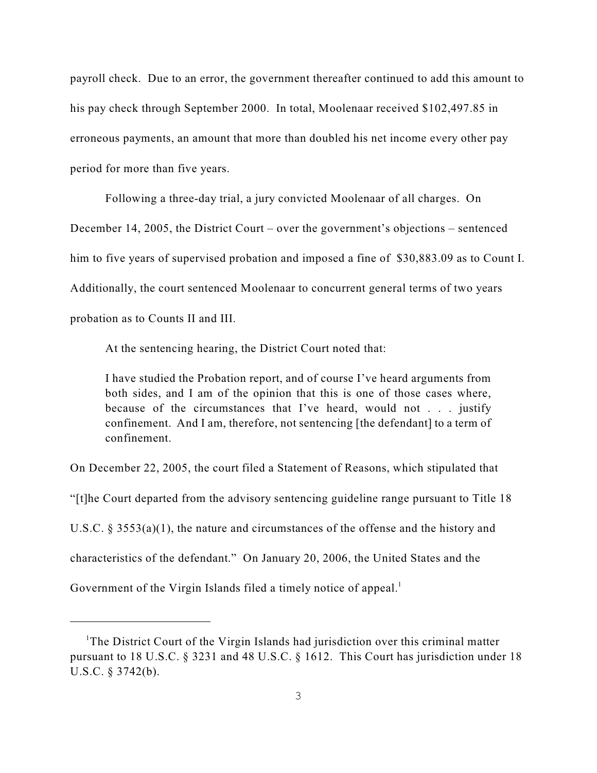payroll check. Due to an error, the government thereafter continued to add this amount to his pay check through September 2000. In total, Moolenaar received \$102,497.85 in erroneous payments, an amount that more than doubled his net income every other pay period for more than five years.

Following a three-day trial, a jury convicted Moolenaar of all charges. On December 14, 2005, the District Court – over the government's objections – sentenced him to five years of supervised probation and imposed a fine of \$30,883.09 as to Count I. Additionally, the court sentenced Moolenaar to concurrent general terms of two years probation as to Counts II and III.

At the sentencing hearing, the District Court noted that:

I have studied the Probation report, and of course I've heard arguments from both sides, and I am of the opinion that this is one of those cases where, because of the circumstances that I've heard, would not . . . justify confinement. And I am, therefore, not sentencing [the defendant] to a term of confinement.

On December 22, 2005, the court filed a Statement of Reasons, which stipulated that

"[t]he Court departed from the advisory sentencing guideline range pursuant to Title 18

U.S.C.  $\S 3553(a)(1)$ , the nature and circumstances of the offense and the history and

characteristics of the defendant." On January 20, 2006, the United States and the

Government of the Virgin Islands filed a timely notice of appeal.<sup>1</sup>

<sup>&</sup>lt;sup>1</sup>The District Court of the Virgin Islands had jurisdiction over this criminal matter pursuant to 18 U.S.C. § 3231 and 48 U.S.C. § 1612. This Court has jurisdiction under 18 U.S.C. § 3742(b).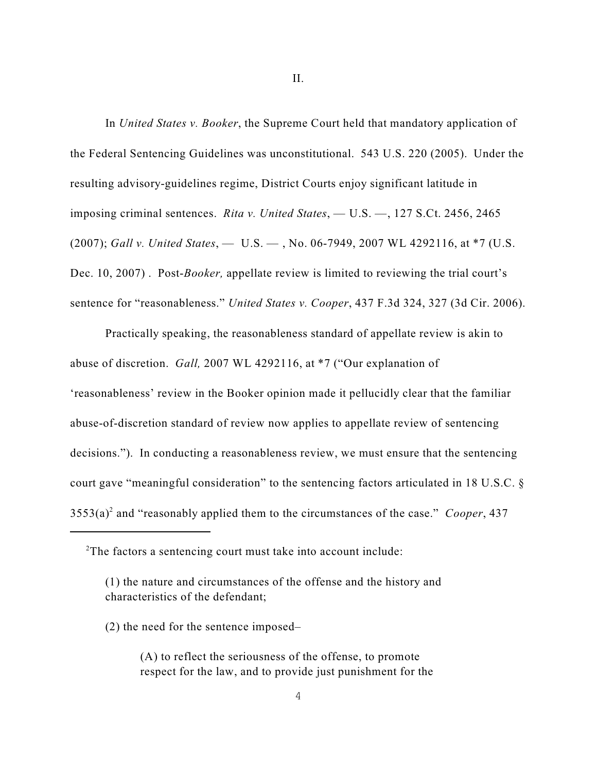II.

In *United States v. Booker*, the Supreme Court held that mandatory application of the Federal Sentencing Guidelines was unconstitutional. 543 U.S. 220 (2005). Under the resulting advisory-guidelines regime, District Courts enjoy significant latitude in imposing criminal sentences. *Rita v. United States*, — U.S. —, 127 S.Ct. 2456, 2465 (2007); *Gall v. United States*, — U.S. — , No. 06-7949, 2007 WL 4292116, at \*7 (U.S. Dec. 10, 2007). Post-*Booker*, appellate review is limited to reviewing the trial court's sentence for "reasonableness." *United States v. Cooper*, 437 F.3d 324, 327 (3d Cir. 2006).

Practically speaking, the reasonableness standard of appellate review is akin to abuse of discretion. *Gall,* 2007 WL 4292116, at \*7 ("Our explanation of 'reasonableness' review in the Booker opinion made it pellucidly clear that the familiar abuse-of-discretion standard of review now applies to appellate review of sentencing decisions."). In conducting a reasonableness review, we must ensure that the sentencing court gave "meaningful consideration" to the sentencing factors articulated in 18 U.S.C. §  $3553(a)^2$  and "reasonably applied them to the circumstances of the case." *Cooper*, 437

 $2$ The factors a sentencing court must take into account include:

<sup>(1)</sup> the nature and circumstances of the offense and the history and characteristics of the defendant;

<sup>(2)</sup> the need for the sentence imposed–

<sup>(</sup>A) to reflect the seriousness of the offense, to promote respect for the law, and to provide just punishment for the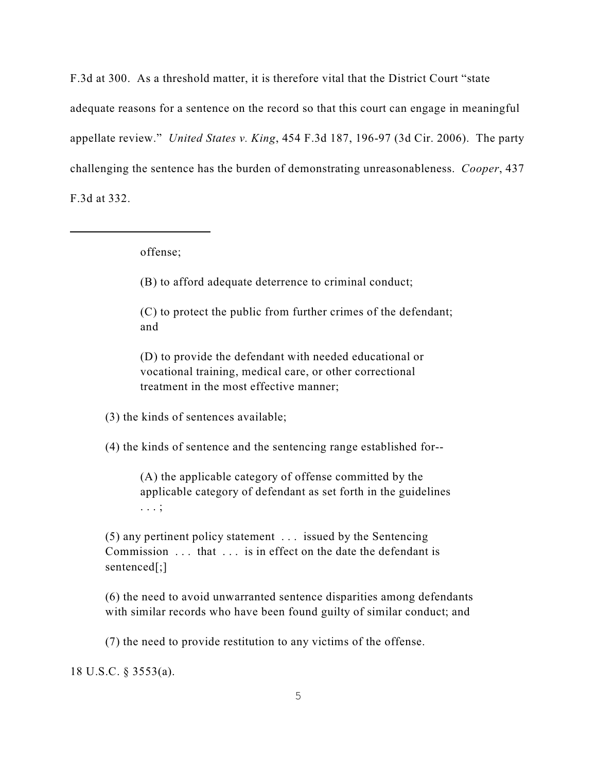F.3d at 300. As a threshold matter, it is therefore vital that the District Court "state adequate reasons for a sentence on the record so that this court can engage in meaningful appellate review." *United States v. King*, 454 F.3d 187, 196-97 (3d Cir. 2006). The party challenging the sentence has the burden of demonstrating unreasonableness. *Cooper*, 437 F.3d at 332.

offense;

(B) to afford adequate deterrence to criminal conduct;

(C) to protect the public from further crimes of the defendant; and

(D) to provide the defendant with needed educational or vocational training, medical care, or other correctional treatment in the most effective manner;

(3) the kinds of sentences available;

(4) the kinds of sentence and the sentencing range established for--

(A) the applicable category of offense committed by the applicable category of defendant as set forth in the guidelines . . . ;

(5) any pertinent policy statement . . . issued by the Sentencing Commission . . . that . . . is in effect on the date the defendant is sentenced[;]

(6) the need to avoid unwarranted sentence disparities among defendants with similar records who have been found guilty of similar conduct; and

(7) the need to provide restitution to any victims of the offense.

18 U.S.C. § 3553(a).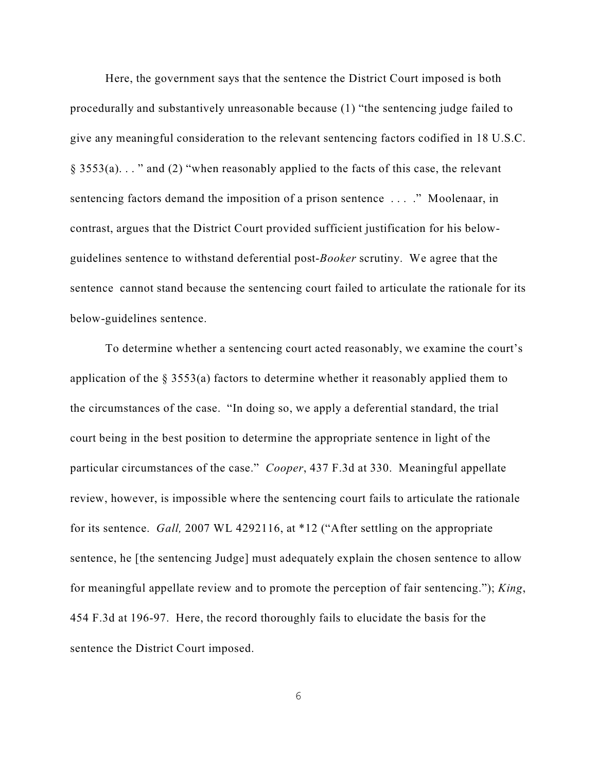Here, the government says that the sentence the District Court imposed is both procedurally and substantively unreasonable because (1) "the sentencing judge failed to give any meaningful consideration to the relevant sentencing factors codified in 18 U.S.C.  $§$  3553(a)..." and (2) "when reasonably applied to the facts of this case, the relevant sentencing factors demand the imposition of a prison sentence . . . ." Moolenaar, in contrast, argues that the District Court provided sufficient justification for his belowguidelines sentence to withstand deferential post-*Booker* scrutiny. We agree that the sentence cannot stand because the sentencing court failed to articulate the rationale for its below-guidelines sentence.

To determine whether a sentencing court acted reasonably, we examine the court's application of the  $\S 3553(a)$  factors to determine whether it reasonably applied them to the circumstances of the case. "In doing so, we apply a deferential standard, the trial court being in the best position to determine the appropriate sentence in light of the particular circumstances of the case." *Cooper*, 437 F.3d at 330. Meaningful appellate review, however, is impossible where the sentencing court fails to articulate the rationale for its sentence. *Gall,* 2007 WL 4292116, at \*12 ("After settling on the appropriate sentence, he [the sentencing Judge] must adequately explain the chosen sentence to allow for meaningful appellate review and to promote the perception of fair sentencing."); *King*, 454 F.3d at 196-97. Here, the record thoroughly fails to elucidate the basis for the sentence the District Court imposed.

6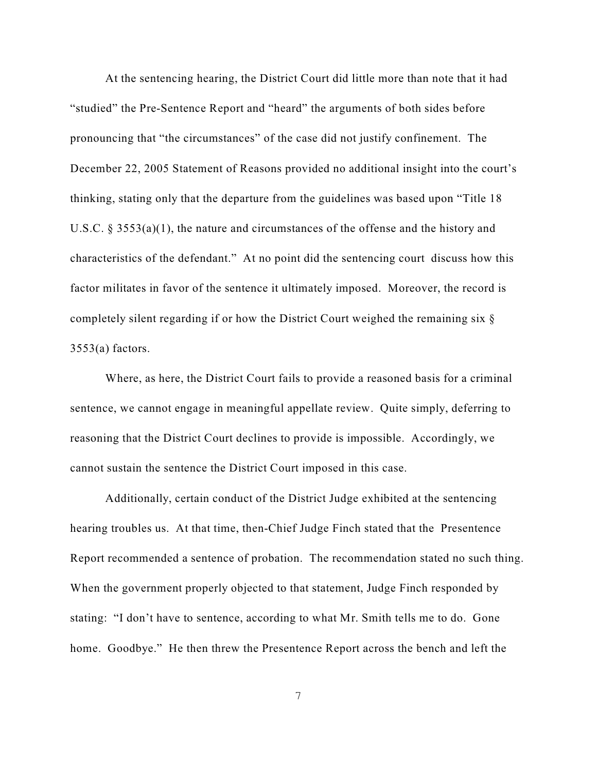At the sentencing hearing, the District Court did little more than note that it had "studied" the Pre-Sentence Report and "heard" the arguments of both sides before pronouncing that "the circumstances" of the case did not justify confinement. The December 22, 2005 Statement of Reasons provided no additional insight into the court's thinking, stating only that the departure from the guidelines was based upon "Title 18 U.S.C. § 3553(a)(1), the nature and circumstances of the offense and the history and characteristics of the defendant." At no point did the sentencing court discuss how this factor militates in favor of the sentence it ultimately imposed. Moreover, the record is completely silent regarding if or how the District Court weighed the remaining six §  $3553(a)$  factors.

Where, as here, the District Court fails to provide a reasoned basis for a criminal sentence, we cannot engage in meaningful appellate review. Quite simply, deferring to reasoning that the District Court declines to provide is impossible. Accordingly, we cannot sustain the sentence the District Court imposed in this case.

Additionally, certain conduct of the District Judge exhibited at the sentencing hearing troubles us. At that time, then-Chief Judge Finch stated that the Presentence Report recommended a sentence of probation. The recommendation stated no such thing. When the government properly objected to that statement, Judge Finch responded by stating: "I don't have to sentence, according to what Mr. Smith tells me to do. Gone home. Goodbye." He then threw the Presentence Report across the bench and left the

7